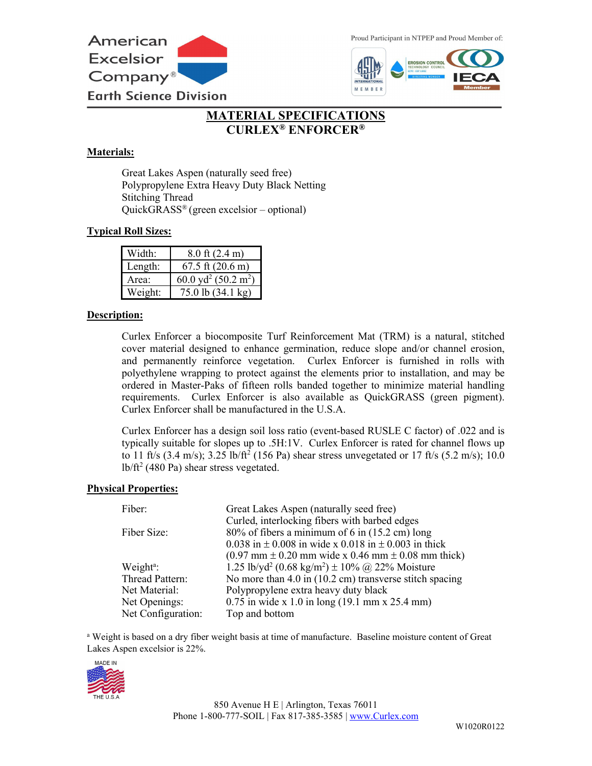

Proud Participant in NTPEP and Proud Member of:



# **MATERIAL SPECIFICATIONS CURLEX® ENFORCER®**

## **Materials:**

Great Lakes Aspen (naturally seed free) Polypropylene Extra Heavy Duty Black Netting Stitching Thread QuickGRASS® (green excelsior – optional)

## **Typical Roll Sizes:**

| Width:  | $8.0$ ft $(2.4 \text{ m})$                  |
|---------|---------------------------------------------|
| Length: | $67.5$ ft $(20.6 \text{ m})$                |
| Area:   | 60.0 yd <sup>2</sup> (50.2 m <sup>2</sup> ) |
| Weight: | 75.0 lb (34.1 kg)                           |

### **Description:**

Curlex Enforcer a biocomposite Turf Reinforcement Mat (TRM) is a natural, stitched cover material designed to enhance germination, reduce slope and/or channel erosion, and permanently reinforce vegetation. Curlex Enforcer is furnished in rolls with polyethylene wrapping to protect against the elements prior to installation, and may be ordered in Master-Paks of fifteen rolls banded together to minimize material handling requirements. Curlex Enforcer is also available as QuickGRASS (green pigment). Curlex Enforcer shall be manufactured in the U.S.A.

Curlex Enforcer has a design soil loss ratio (event-based RUSLE C factor) of .022 and is typically suitable for slopes up to .5H:1V. Curlex Enforcer is rated for channel flows up to 11 ft/s (3.4 m/s); 3.25 lb/ft<sup>2</sup> (156 Pa) shear stress unvegetated or 17 ft/s (5.2 m/s); 10.0  $lb/ft^2$  (480 Pa) shear stress vegetated.

### **Physical Properties:**

| Fiber:                | Great Lakes Aspen (naturally seed free)                                                                   |
|-----------------------|-----------------------------------------------------------------------------------------------------------|
|                       | Curled, interlocking fibers with barbed edges                                                             |
| Fiber Size:           | $80\%$ of fibers a minimum of 6 in (15.2 cm) long                                                         |
|                       | 0.038 in $\pm$ 0.008 in wide x 0.018 in $\pm$ 0.003 in thick                                              |
|                       | $(0.97 \text{ mm} \pm 0.20 \text{ mm} \text{ wide x } 0.46 \text{ mm} \pm 0.08 \text{ mm} \text{ thick})$ |
| Weight <sup>a</sup> : | 1.25 lb/yd <sup>2</sup> (0.68 kg/m <sup>2</sup> ) $\pm$ 10% @ 22% Moisture                                |
| Thread Pattern:       | No more than $4.0$ in $(10.2 \text{ cm})$ transverse stitch spacing                                       |
| Net Material:         | Polypropylene extra heavy duty black                                                                      |
| Net Openings:         | $0.75$ in wide x 1.0 in long (19.1 mm x 25.4 mm)                                                          |
| Net Configuration:    | Top and bottom                                                                                            |

<sup>a</sup> Weight is based on a dry fiber weight basis at time of manufacture. Baseline moisture content of Great Lakes Aspen excelsior is 22%.